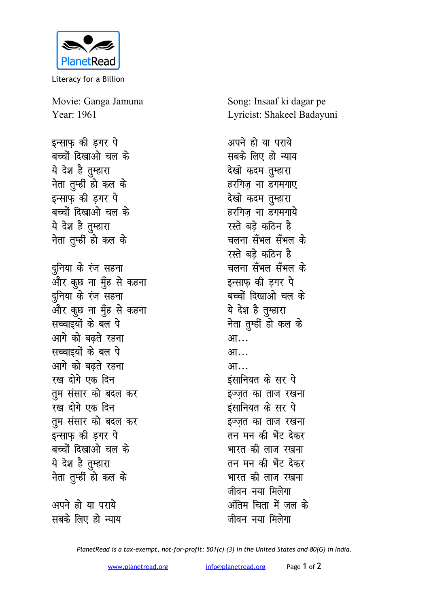

Literacy for a Billion

Movie: Ganga Jamuna Year: 1961

इन्साफ की डगर पे बच्चों दिखाओ चल के ये देश है तम्हारा **नेता तुम्हीं हो कल के इन्साफ की डगर पे** बच्चों दिखाओ चल के ये देश है तुम्हारा <u>नेता तु</u>म्हीं हो कल के दुनिया के रंज सहना <u>और कु</u>छ ना मुँह से कहना दनिया के रंज स**हना** ज्ञ<br>और कुछ ना मुँह से कहना **सच्चाइयों के बल पे** आगे को बढ़ते रहना **<del>l</del>andiges in the component** आगे को बढते रहना **रख दोगे** एक दिन **तुम संसार को बदल कर रख दोगे** एक दिन **तुम संसार को बदल कर** इन्साफ़ की ड़गर पे बच्चों दिखाओ चल के ये देश है तुम्हारा **नेता तुम्हीं हो कल के** 

अपने हो या पराये सबके लिए हो न्याय Song: Insaaf ki dagar pe Lyricist: Shakeel Badayuni

अपने हो या पराय<del>े</del> सबके लिए हो न्याय देखो कदम तुम्हारा हरगिज ना डगमगाए देखो कदम तुम्हारा हरगिज ना डगमगाये रस्ते बडे कठिन **है** चलना सँभल सँभल के रस्ते बडे कठिन है चलना सँभल सँभल के **इन्साफ की डगर पे** बच्चों दिखाओ चल के ये देश है तुम्हारा <u>नेता तु</u>म्हीं हो कल के **भा आ**… आ… *इंसा***नियत के सर पे** इज्ज़त का ताज रखना इंसानियत के सर पे इज्जत का ताज रखना तन मन की भेंट देकर भारत की लाज रखना तन मन की भेंट देकर भारत की लाज रखना जीवन नया मिलेगा अंतिम चिता में जल क<mark>े</mark> <u>जीवन नया मिलेगा</u>

*PlanetRead is a tax-exempt, not-for-profit: 501(c) (3) in the United States and 80(G) in India.*